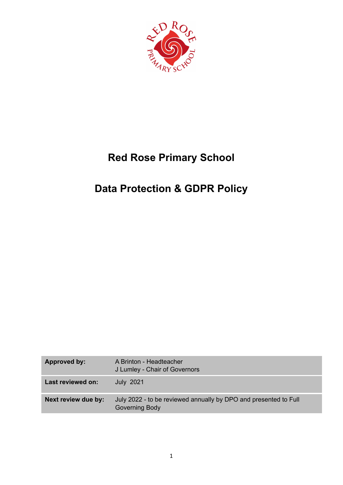

# **Red Rose Primary School**

# **Data Protection & GDPR Policy**

| Approved by:        | A Brinton - Headteacher<br>J Lumley - Chair of Governors                           |
|---------------------|------------------------------------------------------------------------------------|
| Last reviewed on:   | <b>July 2021</b>                                                                   |
| Next review due by: | July 2022 - to be reviewed annually by DPO and presented to Full<br>Governing Body |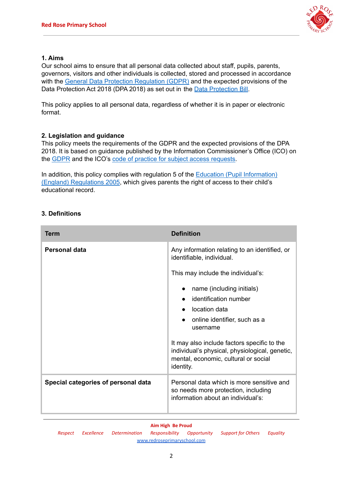

# **1. Aims**

Our school aims to ensure that all personal data collected about staff, pupils, parents, governors, visitors and other individuals is collected, stored and processed in accordance with the General Data Protection [Regulation](http://data.consilium.europa.eu/doc/document/ST-5419-2016-INIT/en/pdf) (GDPR) and the expected provisions of the Data [Protection](https://publications.parliament.uk/pa/bills/cbill/2017-2019/0153/18153.pdf) Act 2018 (DPA 2018) as set out in the Data Protection Bill.

This policy applies to all personal data, regardless of whether it is in paper or electronic format.

# **2. Legislation and guidance**

This policy meets the requirements of the GDPR and the expected provisions of the DPA 2018. It is based on guidance published by the Information Commissioner's Office (ICO) on the [GDPR](https://ico.org.uk/for-organisations/guide-to-the-general-data-protection-regulation-gdpr/) and the ICO's code of practice for subject access [requests](https://ico.org.uk/media/for-organisations/documents/2014223/subject-access-code-of-practice.pdf).

In addition, this policy complies with regulation 5 of the Education (Pupil [Information\)](http://www.legislation.gov.uk/uksi/2005/1437/regulation/5/made) (England) [Regulations](http://www.legislation.gov.uk/uksi/2005/1437/regulation/5/made) 2005, which gives parents the right of access to their child's educational record.

# **3. Definitions**

| Term                                | <b>Definition</b>                                                                                                                                                                                                                                                     |
|-------------------------------------|-----------------------------------------------------------------------------------------------------------------------------------------------------------------------------------------------------------------------------------------------------------------------|
| Personal data                       | Any information relating to an identified, or<br>identifiable, individual.                                                                                                                                                                                            |
|                                     | This may include the individual's:                                                                                                                                                                                                                                    |
|                                     | name (including initials)<br>identification number<br>location data<br>online identifier, such as a<br>username<br>It may also include factors specific to the<br>individual's physical, physiological, genetic,<br>mental, economic, cultural or social<br>identity. |
| Special categories of personal data | Personal data which is more sensitive and<br>so needs more protection, including<br>information about an individual's:                                                                                                                                                |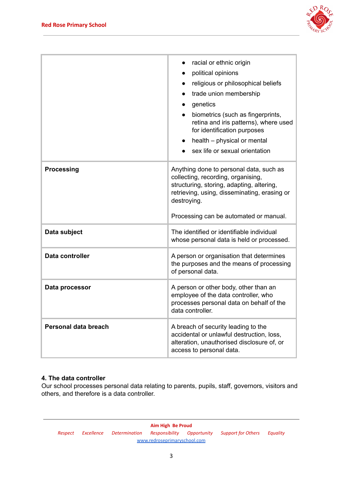

| racial or ethnic origin<br>political opinions<br>religious or philosophical beliefs<br>$\bullet$                                                                                                                                                        |
|---------------------------------------------------------------------------------------------------------------------------------------------------------------------------------------------------------------------------------------------------------|
| trade union membership<br>$\bullet$<br>genetics<br>$\bullet$<br>biometrics (such as fingerprints,<br>$\bullet$<br>retina and iris patterns), where used<br>for identification purposes<br>health – physical or mental<br>sex life or sexual orientation |
| Anything done to personal data, such as<br>collecting, recording, organising,<br>structuring, storing, adapting, altering,<br>retrieving, using, disseminating, erasing or<br>destroying.<br>Processing can be automated or manual.                     |
| The identified or identifiable individual<br>whose personal data is held or processed.                                                                                                                                                                  |
| A person or organisation that determines<br>the purposes and the means of processing<br>of personal data.                                                                                                                                               |
| A person or other body, other than an<br>employee of the data controller, who<br>processes personal data on behalf of the<br>data controller.                                                                                                           |
| A breach of security leading to the<br>accidental or unlawful destruction, loss,<br>alteration, unauthorised disclosure of, or<br>access to personal data.                                                                                              |
|                                                                                                                                                                                                                                                         |

# **4. The data controller**

Our school processes personal data relating to parents, pupils, staff, governors, visitors and others, and therefore is a data controller.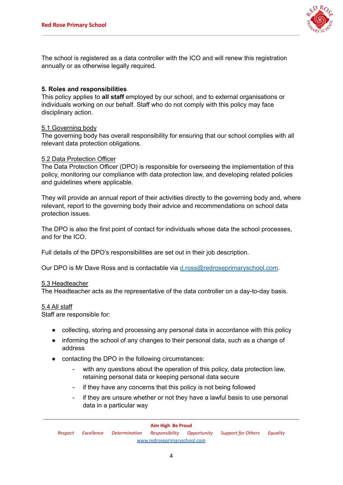

The school is registered as a data controller with the ICO and will renew this registration annually or as otherwise legally required.

# **5. Roles and responsibilities**

This policy applies to **all staff** employed by our school, and to external organisations or individuals working on our behalf. Staff who do not comply with this policy may face disciplinary action.

# 5.1 Governing body

The governing body has overall responsibility for ensuring that our school complies with all relevant data protection obligations.

## 5.2 Data Protection Officer

The Data Protection Officer (DPO) is responsible for overseeing the implementation of this policy, monitoring our compliance with data protection law, and developing related policies and guidelines where applicable.

They will provide an annual report of their activities directly to the governing body and, where relevant, report to the governing body their advice and recommendations on school data protection issues.

The DPO is also the first point of contact for individuals whose data the school processes, and for the ICO.

Full details of the DPO's responsibilities are set out in their job description.

Our DPO is Mr Dave Ross and is contactable via [d.ross@redroseprimaryschool.com](mailto:d.ross@redroseprimaryschool.com).

### 5.3 Headteacher

The Headteacher acts as the representative of the data controller on a day-to-day basis.

### 5.4 All staff

Staff are responsible for:

- collecting, storing and processing any personal data in accordance with this policy
- informing the school of any changes to their personal data, such as a change of address
- contacting the DPO in the following circumstances:
	- with any questions about the operation of this policy, data protection law, retaining personal data or keeping personal data secure
	- if they have any concerns that this policy is not being followed
	- if they are unsure whether or not they have a lawful basis to use personal data in a particular way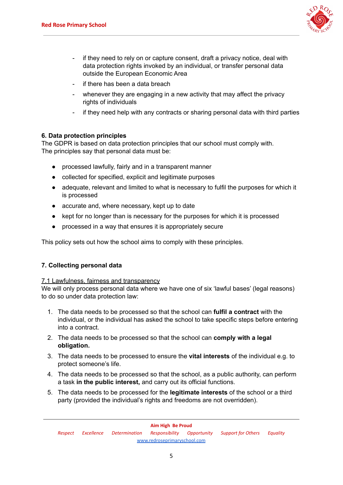

- if they need to rely on or capture consent, draft a privacy notice, deal with data protection rights invoked by an individual, or transfer personal data outside the European Economic Area
- if there has been a data breach
- whenever they are engaging in a new activity that may affect the privacy rights of individuals
- if they need help with any contracts or sharing personal data with third parties

# **6. Data protection principles**

The GDPR is based on data protection principles that our school must comply with. The principles say that personal data must be:

- processed lawfully, fairly and in a transparent manner
- collected for specified, explicit and legitimate purposes
- adequate, relevant and limited to what is necessary to fulfil the purposes for which it is processed
- accurate and, where necessary, kept up to date
- kept for no longer than is necessary for the purposes for which it is processed
- processed in a way that ensures it is appropriately secure

This policy sets out how the school aims to comply with these principles.

# **7. Collecting personal data**

# 7.1 Lawfulness, fairness and transparency

We will only process personal data where we have one of six 'lawful bases' (legal reasons) to do so under data protection law:

- 1. The data needs to be processed so that the school can **fulfil a contract** with the individual, or the individual has asked the school to take specific steps before entering into a contract.
- 2. The data needs to be processed so that the school can **comply with a legal obligation.**
- 3. The data needs to be processed to ensure the **vital interests** of the individual e.g. to protect someone's life.
- 4. The data needs to be processed so that the school, as a public authority, can perform a task **in the public interest,** and carry out its official functions.
- 5. The data needs to be processed for the **legitimate interests** of the school or a third party (provided the individual's rights and freedoms are not overridden).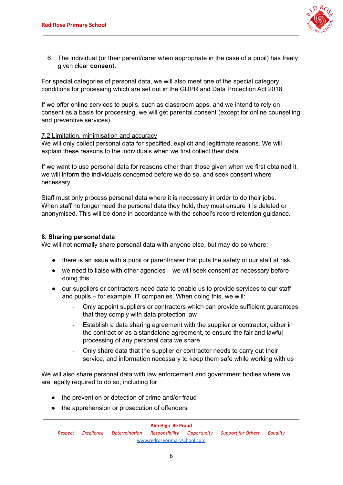

6. The individual (or their parent/carer when appropriate in the case of a pupil) has freely given clear **consent**.

For special categories of personal data, we will also meet one of the special category conditions for processing which are set out in the GDPR and Data Protection Act 2018.

If we offer online services to pupils, such as classroom apps, and we intend to rely on consent as a basis for processing, we will get parental consent (except for online counselling and preventive services).

## 7.2 Limitation, minimisation and accuracy

We will only collect personal data for specified, explicit and legitimate reasons. We will explain these reasons to the individuals when we first collect their data.

If we want to use personal data for reasons other than those given when we first obtained it, we will inform the individuals concerned before we do so, and seek consent where necessary.

Staff must only process personal data where it is necessary in order to do their jobs. When staff no longer need the personal data they hold, they must ensure it is deleted or anonymised. This will be done in accordance with the school's record retention guidance.

# **8. Sharing personal data**

We will not normally share personal data with anyone else, but may do so where:

- there is an issue with a pupil or parent/carer that puts the safety of our staff at risk
- we need to liaise with other agencies we will seek consent as necessary before doing this
- our suppliers or contractors need data to enable us to provide services to our staff and pupils – for example, IT companies. When doing this, we will:
	- Only appoint suppliers or contractors which can provide sufficient guarantees that they comply with data protection law
	- Establish a data sharing agreement with the supplier or contractor, either in the contract or as a standalone agreement, to ensure the fair and lawful processing of any personal data we share
	- Only share data that the supplier or contractor needs to carry out their service, and information necessary to keep them safe while working with us

We will also share personal data with law enforcement and government bodies where we are legally required to do so, including for:

- the prevention or detection of crime and/or fraud
- the apprehension or prosecution of offenders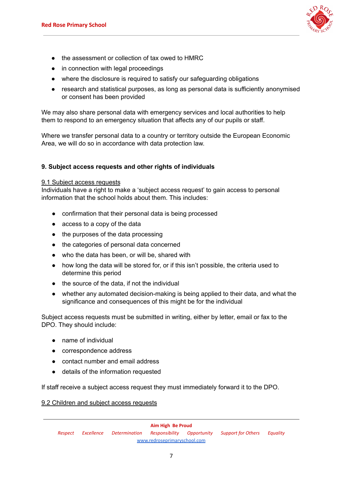

- the assessment or collection of tax owed to HMRC
- in connection with legal proceedings
- where the disclosure is required to satisfy our safeguarding obligations
- research and statistical purposes, as long as personal data is sufficiently anonymised or consent has been provided

We may also share personal data with emergency services and local authorities to help them to respond to an emergency situation that affects any of our pupils or staff.

Where we transfer personal data to a country or territory outside the European Economic Area, we will do so in accordance with data protection law.

# **9. Subject access requests and other rights of individuals**

### 9.1 Subject access requests

Individuals have a right to make a 'subject access request' to gain access to personal information that the school holds about them. This includes:

- confirmation that their personal data is being processed
- access to a copy of the data
- the purposes of the data processing
- the categories of personal data concerned
- who the data has been, or will be, shared with
- how long the data will be stored for, or if this isn't possible, the criteria used to determine this period
- the source of the data, if not the individual
- whether any automated decision-making is being applied to their data, and what the significance and consequences of this might be for the individual

Subject access requests must be submitted in writing, either by letter, email or fax to the DPO. They should include:

- name of individual
- correspondence address
- contact number and email address
- details of the information requested

If staff receive a subject access request they must immediately forward it to the DPO.

9.2 Children and subject access requests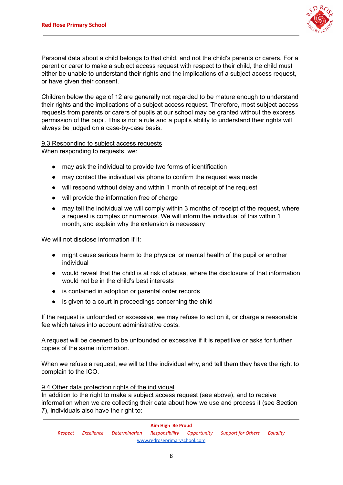

Personal data about a child belongs to that child, and not the child's parents or carers. For a parent or carer to make a subject access request with respect to their child, the child must either be unable to understand their rights and the implications of a subject access request, or have given their consent.

Children below the age of 12 are generally not regarded to be mature enough to understand their rights and the implications of a subject access request. Therefore, most subject access requests from parents or carers of pupils at our school may be granted without the express permission of the pupil. This is not a rule and a pupil's ability to understand their rights will always be judged on a case-by-case basis.

# 9.3 Responding to subject access requests

When responding to requests, we:

- may ask the individual to provide two forms of identification
- may contact the individual via phone to confirm the request was made
- will respond without delay and within 1 month of receipt of the request
- will provide the information free of charge
- may tell the individual we will comply within 3 months of receipt of the request, where a request is complex or numerous. We will inform the individual of this within 1 month, and explain why the extension is necessary

We will not disclose information if it:

- might cause serious harm to the physical or mental health of the pupil or another individual
- would reveal that the child is at risk of abuse, where the disclosure of that information would not be in the child's best interests
- is contained in adoption or parental order records
- is given to a court in proceedings concerning the child

If the request is unfounded or excessive, we may refuse to act on it, or charge a reasonable fee which takes into account administrative costs.

A request will be deemed to be unfounded or excessive if it is repetitive or asks for further copies of the same information.

When we refuse a request, we will tell the individual why, and tell them they have the right to complain to the ICO.

# 9.4 Other data protection rights of the individual

In addition to the right to make a subject access request (see above), and to receive information when we are collecting their data about how we use and process it (see Section 7), individuals also have the right to: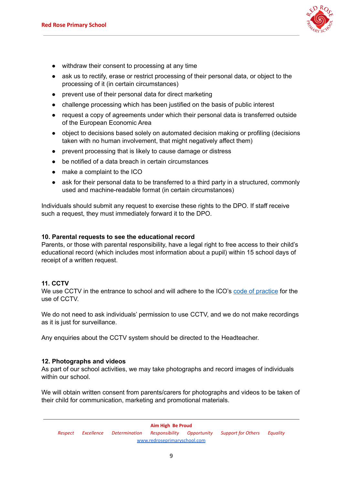

- withdraw their consent to processing at any time
- ask us to rectify, erase or restrict processing of their personal data, or object to the processing of it (in certain circumstances)
- prevent use of their personal data for direct marketing
- challenge processing which has been justified on the basis of public interest
- request a copy of agreements under which their personal data is transferred outside of the European Economic Area
- object to decisions based solely on automated decision making or profiling (decisions taken with no human involvement, that might negatively affect them)
- prevent processing that is likely to cause damage or distress
- be notified of a data breach in certain circumstances
- make a complaint to the ICO
- ask for their personal data to be transferred to a third party in a structured, commonly used and machine-readable format (in certain circumstances)

Individuals should submit any request to exercise these rights to the DPO. If staff receive such a request, they must immediately forward it to the DPO.

### **10. Parental requests to see the educational record**

Parents, or those with parental responsibility, have a legal right to free access to their child's educational record (which includes most information about a pupil) within 15 school days of receipt of a written request.

# **11. CCTV**

We use CCTV in the entrance to school and will adhere to the ICO's code of [practice](https://ico.org.uk/media/for-organisations/documents/1542/cctv-code-of-practice.pdf) for the use of CCTV.

We do not need to ask individuals' permission to use CCTV, and we do not make recordings as it is just for surveillance.

Any enquiries about the CCTV system should be directed to the Headteacher.

### **12. Photographs and videos**

As part of our school activities, we may take photographs and record images of individuals within our school.

We will obtain written consent from parents/carers for photographs and videos to be taken of their child for communication, marketing and promotional materials.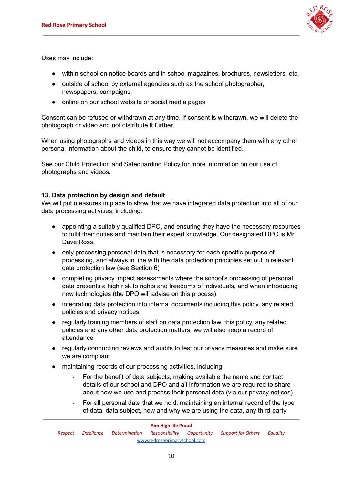

Uses may include:

- within school on notice boards and in school magazines, brochures, newsletters, etc.
- outside of school by external agencies such as the school photographer, newspapers, campaigns
- online on our school website or social media pages

Consent can be refused or withdrawn at any time. If consent is withdrawn, we will delete the photograph or video and not distribute it further.

When using photographs and videos in this way we will not accompany them with any other personal information about the child, to ensure they cannot be identified.

See our Child Protection and Safeguarding Policy for more information on our use of photographs and videos.

# **13. Data protection by design and default**

We will put measures in place to show that we have integrated data protection into all of our data processing activities, including:

- appointing a suitably qualified DPO, and ensuring they have the necessary resources to fulfil their duties and maintain their expert knowledge. Our designated DPO is Mr Dave Ross.
- only processing personal data that is necessary for each specific purpose of processing, and always in line with the data protection principles set out in relevant data protection law (see Section 6)
- completing privacy impact assessments where the school's processing of personal data presents a high risk to rights and freedoms of individuals, and when introducing new technologies (the DPO will advise on this process)
- integrating data protection into internal documents including this policy, any related policies and privacy notices
- regularly training members of staff on data protection law, this policy, any related policies and any other data protection matters; we will also keep a record of attendance
- regularly conducting reviews and audits to test our privacy measures and make sure we are compliant
- maintaining records of our processing activities, including:
	- For the benefit of data subjects, making available the name and contact details of our school and DPO and all information we are required to share about how we use and process their personal data (via our privacy notices)
	- For all personal data that we hold, maintaining an internal record of the type of data, data subject, how and why we are using the data, any third-party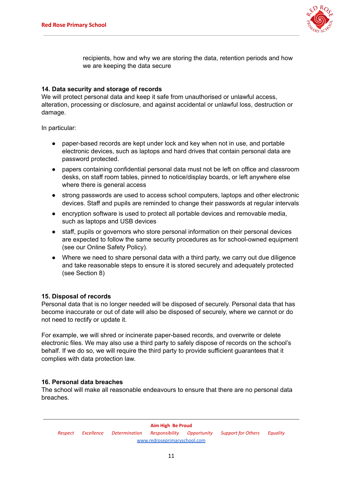

recipients, how and why we are storing the data, retention periods and how we are keeping the data secure

# **14. Data security and storage of records**

We will protect personal data and keep it safe from unauthorised or unlawful access, alteration, processing or disclosure, and against accidental or unlawful loss, destruction or damage.

In particular:

- paper-based records are kept under lock and key when not in use, and portable electronic devices, such as laptops and hard drives that contain personal data are password protected.
- papers containing confidential personal data must not be left on office and classroom desks, on staff room tables, pinned to notice/display boards, or left anywhere else where there is general access
- strong passwords are used to access school computers, laptops and other electronic devices. Staff and pupils are reminded to change their passwords at regular intervals
- encryption software is used to protect all portable devices and removable media, such as laptops and USB devices
- staff, pupils or governors who store personal information on their personal devices are expected to follow the same security procedures as for school-owned equipment (see our Online Safety Policy).
- Where we need to share personal data with a third party, we carry out due diligence and take reasonable steps to ensure it is stored securely and adequately protected (see Section 8)

# **15. Disposal of records**

Personal data that is no longer needed will be disposed of securely. Personal data that has become inaccurate or out of date will also be disposed of securely, where we cannot or do not need to rectify or update it.

For example, we will shred or incinerate paper-based records, and overwrite or delete electronic files. We may also use a third party to safely dispose of records on the school's behalf. If we do so, we will require the third party to provide sufficient guarantees that it complies with data protection law.

# **16. Personal data breaches**

The school will make all reasonable endeavours to ensure that there are no personal data breaches.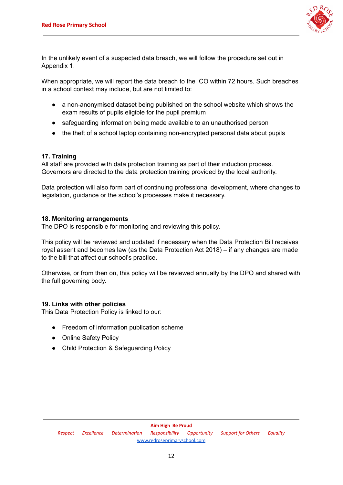

In the unlikely event of a suspected data breach, we will follow the procedure set out in Appendix 1.

When appropriate, we will report the data breach to the ICO within 72 hours. Such breaches in a school context may include, but are not limited to:

- a non-anonymised dataset being published on the school website which shows the exam results of pupils eligible for the pupil premium
- safeguarding information being made available to an unauthorised person
- the theft of a school laptop containing non-encrypted personal data about pupils

# **17. Training**

All staff are provided with data protection training as part of their induction process. Governors are directed to the data protection training provided by the local authority.

Data protection will also form part of continuing professional development, where changes to legislation, guidance or the school's processes make it necessary.

## **18. Monitoring arrangements**

The DPO is responsible for monitoring and reviewing this policy.

This policy will be reviewed and updated if necessary when the Data Protection Bill receives royal assent and becomes law (as the Data Protection Act 2018) – if any changes are made to the bill that affect our school's practice.

Otherwise, or from then on, this policy will be reviewed annually by the DPO and shared with the full governing body.

### **19. Links with other policies**

This Data Protection Policy is linked to our:

- Freedom of information publication scheme
- Online Safety Policy
- Child Protection & Safeguarding Policy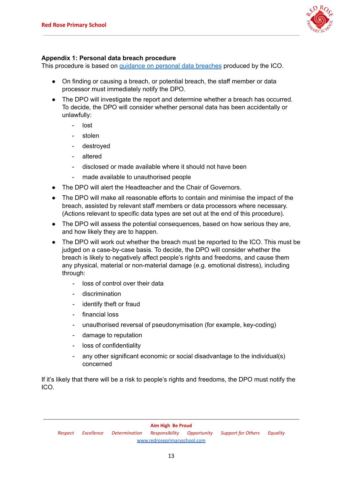

# **Appendix 1: Personal data breach procedure**

This procedure is based on guidance on personal data [breaches](https://ico.org.uk/for-organisations/guide-to-the-general-data-protection-regulation-gdpr/personal-data-breaches/) produced by the ICO.

- On finding or causing a breach, or potential breach, the staff member or data processor must immediately notify the DPO.
- The DPO will investigate the report and determine whether a breach has occurred. To decide, the DPO will consider whether personal data has been accidentally or unlawfully:
	- lost
	- stolen
	- destroyed
	- altered
	- disclosed or made available where it should not have been
	- made available to unauthorised people
- The DPO will alert the Headteacher and the Chair of Governors.
- The DPO will make all reasonable efforts to contain and minimise the impact of the breach, assisted by relevant staff members or data processors where necessary. (Actions relevant to specific data types are set out at the end of this procedure).
- The DPO will assess the potential consequences, based on how serious they are, and how likely they are to happen.
- The DPO will work out whether the breach must be reported to the ICO. This must be judged on a case-by-case basis. To decide, the DPO will consider whether the breach is likely to negatively affect people's rights and freedoms, and cause them any physical, material or non-material damage (e.g. emotional distress), including through:
	- loss of control over their data
	- discrimination
	- identify theft or fraud
	- financial loss
	- unauthorised reversal of pseudonymisation (for example, key-coding)
	- damage to reputation
	- loss of confidentiality
	- any other significant economic or social disadvantage to the individual(s) concerned

If it's likely that there will be a risk to people's rights and freedoms, the DPO must notify the ICO.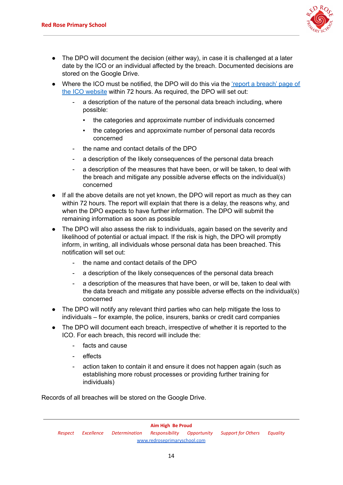

- The DPO will document the decision (either way), in case it is challenged at a later date by the ICO or an individual affected by the breach. Documented decisions are stored on the Google Drive.
- Where the ICO must be notified, the DPO will do this via the 'report a [breach'](https://ico.org.uk/for-organisations/report-a-breach/) page of the ICO [website](https://ico.org.uk/for-organisations/report-a-breach/) within 72 hours. As required, the DPO will set out:
	- a description of the nature of the personal data breach including, where possible:
		- the categories and approximate number of individuals concerned
		- the categories and approximate number of personal data records concerned
	- the name and contact details of the DPO
	- a description of the likely consequences of the personal data breach
	- a description of the measures that have been, or will be taken, to deal with the breach and mitigate any possible adverse effects on the individual(s) concerned
- If all the above details are not vet known, the DPO will report as much as they can within 72 hours. The report will explain that there is a delay, the reasons why, and when the DPO expects to have further information. The DPO will submit the remaining information as soon as possible
- The DPO will also assess the risk to individuals, again based on the severity and likelihood of potential or actual impact. If the risk is high, the DPO will promptly inform, in writing, all individuals whose personal data has been breached. This notification will set out:
	- the name and contact details of the DPO
	- a description of the likely consequences of the personal data breach
	- a description of the measures that have been, or will be, taken to deal with the data breach and mitigate any possible adverse effects on the individual(s) concerned
- The DPO will notify any relevant third parties who can help mitigate the loss to individuals – for example, the police, insurers, banks or credit card companies
- The DPO will document each breach, irrespective of whether it is reported to the ICO. For each breach, this record will include the:
	- facts and cause
	- effects
	- action taken to contain it and ensure it does not happen again (such as establishing more robust processes or providing further training for individuals)

Records of all breaches will be stored on the Google Drive.